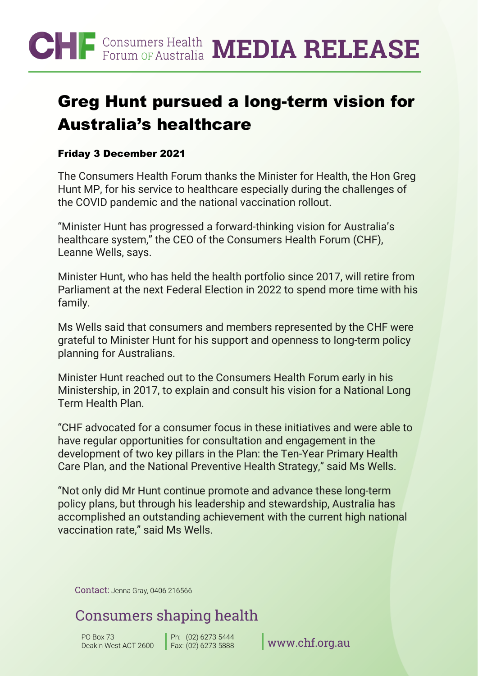## CHF<sup>Consumers Health MEDIA RELEASE</sup>

### Greg Hunt pursued a long-term vision for Australia's healthcare

#### Friday 3 December 2021

The Consumers Health Forum thanks the Minister for Health, the Hon Greg Hunt MP, for his service to healthcare especially during the challenges of the COVID pandemic and the national vaccination rollout.

"Minister Hunt has progressed a forward-thinking vision for Australia's healthcare system," the CEO of the Consumers Health Forum (CHF), Leanne Wells, says.

Minister Hunt, who has held the health portfolio since 2017, will retire from Parliament at the next Federal Election in 2022 to spend more time with his family.

Ms Wells said that consumers and members represented by the CHF were grateful to Minister Hunt for his support and openness to long-term policy planning for Australians.

Minister Hunt reached out to the Consumers Health Forum early in his Ministership, in 2017, to explain and consult his vision for a National Long Term Health Plan.

"CHF advocated for a consumer focus in these initiatives and were able to have regular opportunities for consultation and engagement in the development of two key pillars in the Plan: the Ten-Year Primary Health Care Plan, and the National Preventive Health Strategy," said Ms Wells.

"Not only did Mr Hunt continue promote and advance these long-term policy plans, but through his leadership and stewardship, Australia has accomplished an outstanding achievement with the current high national vaccination rate," said Ms Wells.

Contact: Jenna Gray, 0406 216566

### Consumers shaping health

PO Box 73 Deakin West ACT 2600 Ph: Fax:

(02) 6273 5444

[www.chf.org.au](http://www.chf.org.au/)